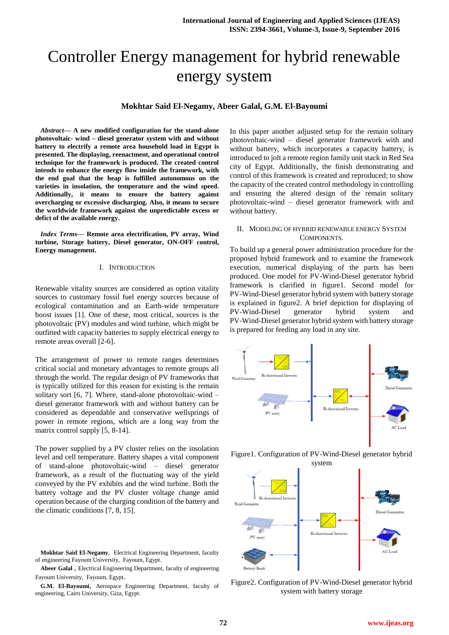# Controller Energy management for hybrid renewable energy system

# **Mokhtar Said El-Negamy, Abeer Galal, G.M. El-Bayoumi**

*Abstract***— A new modified configuration for the stand-alone photovoltaic- wind – diesel generator system with and without battery to electrify a remote area household load in Egypt is presented. The displaying, reenactment, and operational control technique for the framework is produced. The created control intends to enhance the energy flow inside the framework, with the end goal that the heap is fulfilled autonomous on the varieties in insolation, the temperature and the wind speed. Additionally, it means to ensure the battery against overcharging or excessive discharging. Also, it means to secure the worldwide framework against the unpredictable excess or defict of the available energy.**

*Index Terms***— Remote area electrification, PV array, Wind turbine, Storage battery, Diesel generator, ON-OFF control, Energy management.**

## I. INTRODUCTION

Renewable vitality sources are considered as option vitality sources to customary fossil fuel energy sources because of ecological contamination and an Earth-wide temperature boost issues [1]. One of these, most critical, sources is the photovoltaic (PV) modules and wind turbine, which might be outfitted with capacity batteries to supply electrical energy to remote areas overall [2-6].

The arrangement of power to remote ranges determines critical social and monetary advantages to remote groups all through the world. The regular design of PV frameworks that is typically utilized for this reason for existing is the remain solitary sort [6, 7]. Where, stand-alone photovoltaic-wind – diesel generator framework with and without battery can be considered as dependable and conservative wellsprings of power in remote regions, which are a long way from the matrix control supply  $[5, 8-14]$ .

The power supplied by a PV cluster relies on the insolation level and cell temperature. Battery shapes a vital component of stand-alone photovoltaic-wind – diesel generator framework, as a result of the fluctuating way of the yield conveyed by the PV exhibits and the wind turbine. Both the battery voltage and the PV cluster voltage change amid operation because of the charging condition of the battery and the climatic conditions [7, 8, 15].

**Abeer Galal** , Electrical Engineering Department, faculty of engineering Fayoum University, Fayoum, Egypt.

**G.M. El-Bayoumi**, Aerospace Engineering Department, faculty of engineering, Cairo University, Giza, Egypt.

In this paper another adjusted setup for the remain solitary photovoltaic-wind – diesel generator framework with and without battery, which incorporates a capacity battery, is introduced to jolt a remote region family unit stack in Red Sea city of Egypt. Additionally, the finish demonstrating and control of this framework is created and reproduced; to show the capacity of the created control methodology in controlling and ensuring the altered design of the remain solitary photovoltaic-wind – diesel generator framework with and without battery.

# II. MODELING OF HYBRID RENEWABLE ENERGY SYSTEM COMPONENTS.

To build up a general power administration procedure for the proposed hybrid framework and to examine the framework execution, numerical displaying of the parts has been produced. One model for PV-Wind-Diesel generator hybrid framework is clarified in figure1. Second model for PV-Wind-Diesel generator hybrid system with battery storage is explained in figure2. A brief depiction for displaying of PV-Wind-Diesel generator hybrid system and PV-Wind-Diesel generator hybrid system with battery storage is prepared for feeding any load in any site.



Figure1. Configuration of PV-Wind-Diesel generator hybrid



Figure2. Configuration of PV-Wind-Diesel generator hybrid system with battery storage

**Mokhtar Said El**-**Negamy**, Electrical Engineering Department, faculty of engineering Fayoum University, Fayoum, Egypt.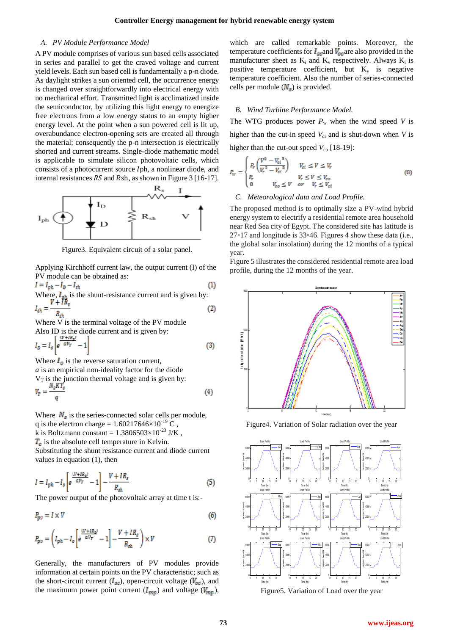#### *A. PV Module Performance Model*

A PV module comprises of various sun based cells associated in series and parallel to get the craved voltage and current yield levels. Each sun based cell is fundamentally a p-n diode. As daylight strikes a sun oriented cell, the occurrence energy is changed over straightforwardly into electrical energy with no mechanical effort. Transmitted light is acclimatized inside the semiconductor, by utilizing this light energy to energize free electrons from a low energy status to an empty higher energy level. At the point when a sun powered cell is lit up, overabundance electron-opening sets are created all through the material; consequently the p-n intersection is electrically shorted and current streams. Single-diode mathematic model is applicable to simulate silicon photovoltaic cells, which consists of a photocurrent source Iph, a nonlinear diode, and internal resistances  $RS$  and  $Rsh$ , as shown in Figure 3 [16-17].



Figure3. Equivalent circuit of a solar panel.

Applying Kirchhoff current law, the output current (I) of the PV module can be obtained as:

$$
I = I_{ph} - I_D - I_{sh}
$$
(1)  
Where,  $I_{sh}$  is the shunt-resistance current and is given by:  

$$
I_{sh} = \frac{V + IR_s}{R_{sh}}
$$
(2)

Where V is the terminal voltage of the PV module Also ID is the diode current and is given by:  $I_D = I_o \left| e^{-aV_T} \right| - 1$ 

Where  $I_{\alpha}$  is the reverse saturation current,

values in equation (1), then

*a* is an empirical non-ideality factor for the diode  $V_T$  is the junction thermal voltage and is given by:<br> $V_T = \frac{N_s K T_c}{V}$ 

where 
$$
N_s
$$
 is the series-connected solar cells per module,

q is the electron charge =  $1.60217646\times10^{-19}$  C, k is Boltzmann constant =  $1.3806503\times10^{-23}$  J/K,  $T<sub>c</sub>$  is the absolute cell temperature in Kelvin. Substituting the shunt resistance current and diode current

 $I=I_{ph}-I_o \left[e^{\frac{(V+IR_s)}{\alpha V_T}}-1\right]-\frac{V+IR_s}{R_{sh}}$  $(5)$ 

The power output of the photovoltaic array at time t is:-

$$
P_{pv} = I \times V \tag{6}
$$

$$
P_{pv} = \left(I_{ph} - I_o \left[e^{\frac{(V + IR_s)}{\alpha V_T}} - 1\right] - \frac{V + IR_s}{R_{sh}}\right) \times V\tag{7}
$$

Generally, the manufacturers of PV modules provide information at certain points on the PV characteristic; such as the short-circuit current ( $I_{\text{sc}}$ ), open-circuit voltage ( $V_{\text{oc}}$ ), and the maximum power point current  $(I_{mp})$  and voltage  $(V_{mp})$ ,

which are called remarkable points. Moreover, the temperature coefficients for  $I_{\text{sc}}$  and  $V_{\text{oc}}$  are also provided in the manufacturer sheet as  $K_i$  and  $K_v$  respectively. Always  $K_i$  is positive temperature coefficient, but  $K_v$  is negative temperature coefficient. Also the number of series-connected cells per module  $(N<sub>s</sub>)$  is provided.

### *B. Wind Turbine Performance Model.*

The WTG produces power  $P_w$  when the wind speed *V* is higher than the cut-in speed  $V_{ci}$  and is shut-down when *V* is higher than the cut-out speed  $V_{\rm co}$  [18-19]:

$$
P_w = \begin{cases} P_r \left(\frac{V^3 - V_{ci}^3}{V_r^3 - V_{ci}^3}\right) & V_{ci} \le V \le V_r\\ P_r & V_r \le V \le V_{co}\\ 0 & V_{co} \le V \quad or \quad V_r \le V_{ci} \end{cases}
$$
(8)

#### *C. Meteorological data and Load Profile.*

The proposed method is to optimally size a PV-wind hybrid energy system to electrify a residential remote area household near Red Sea city of Egypt. The considered site has latitude is 27◦17 and longitude is 33◦46. Figures 4 show these data (i.e., the global solar insolation) during the 12 months of a typical year.

Figure 5 illustrates the considered residential remote area load profile, during the 12 months of the year.



Figure4. Variation of Solar radiation over the year



Figure5. Variation of Load over the year

 $(3)$ 

 $(4)$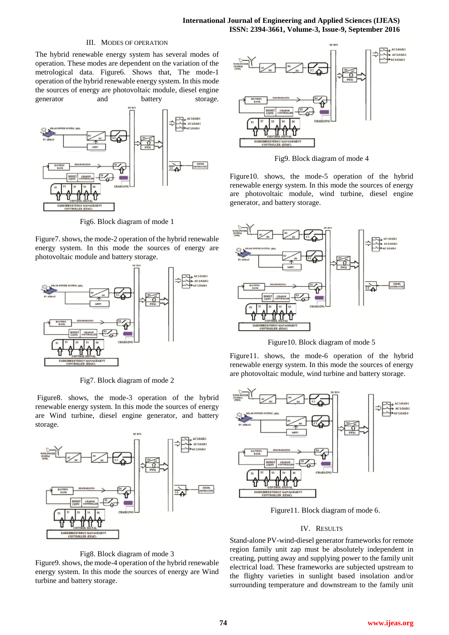# III. MODES OF OPERATION

The hybrid renewable energy system has several modes of operation. These modes are dependent on the variation of the metrological data. Figure6. Shows that, The mode-1 operation of the hybrid renewable energy system. In this mode the sources of energy are photovoltaic module, diesel engine generator and battery storage.



Fig6. Block diagram of mode 1

Figure7. shows, the mode-2 operation of the hybrid renewable energy system. In this mode the sources of energy are photovoltaic module and battery storage.



Fig7. Block diagram of mode 2

Figure8. shows, the mode-3 operation of the hybrid renewable energy system. In this mode the sources of energy are Wind turbine, diesel engine generator, and battery storage.





Figure9. shows, the mode-4 operation of the hybrid renewable energy system. In this mode the sources of energy are Wind turbine and battery storage.



Fig9. Block diagram of mode 4

Figure10. shows, the mode-5 operation of the hybrid renewable energy system. In this mode the sources of energy are photovoltaic module, wind turbine, diesel engine generator, and battery storage.



Figure10. Block diagram of mode 5

Figure11. shows, the mode-6 operation of the hybrid renewable energy system. In this mode the sources of energy are photovoltaic module, wind turbine and battery storage.



Figure11. Block diagram of mode 6.

# IV. RESULTS

Stand-alone PV-wind-diesel generator frameworks for remote region family unit zap must be absolutely independent in creating, putting away and supplying power to the family unit electrical load. These frameworks are subjected upstream to the flighty varieties in sunlight based insolation and/or surrounding temperature and downstream to the family unit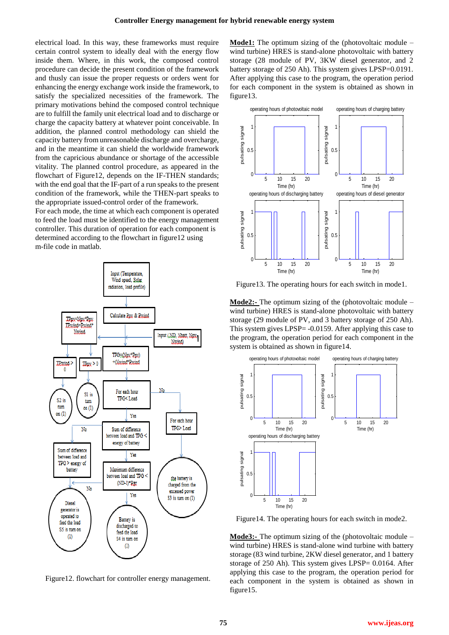electrical load. In this way, these frameworks must require certain control system to ideally deal with the energy flow inside them. Where, in this work, the composed control procedure can decide the present condition of the framework and thusly can issue the proper requests or orders went for enhancing the energy exchange work inside the framework, to satisfy the specialized necessities of the framework. The primary motivations behind the composed control technique are to fulfill the family unit electrical load and to discharge or charge the capacity battery at whatever point conceivable. In addition, the planned control methodology can shield the capacity battery from unreasonable discharge and overcharge, and in the meantime it can shield the worldwide framework from the capricious abundance or shortage of the accessible vitality. The planned control procedure, as appeared in the flowchart of Figure12, depends on the IF-THEN standards; with the end goal that the IF-part of a run speaks to the present condition of the framework, while the THEN-part speaks to the appropriate issued-control order of the framework.

For each mode, the time at which each component is operated to feed the load must be identified to the energy management controller. This duration of operation for each component is determined according to the flowchart in figure12 using m-file code in matlab.



Figure12. flowchart for controller energy management.

**Mode1:** The optimum sizing of the (photovoltaic module – wind turbine) HRES is stand-alone photovoltaic with battery storage (28 module of PV, 3KW diesel generator, and 2 battery storage of 250 Ah). This system gives LPSP=0.0191. After applying this case to the program, the operation period for each component in the system is obtained as shown in figure13.



Figure13. The operating hours for each switch in mode1.

**Mode2:-** The optimum sizing of the (photovoltaic module – wind turbine) HRES is stand-alone photovoltaic with battery storage (29 module of PV, and 3 battery storage of 250 Ah). This system gives LPSP= -0.0159. After applying this case to the program, the operation period for each component in the system is obtained as shown in figure14.



Figure14. The operating hours for each switch in mode2.

**Mode3:-** The optimum sizing of the (photovoltaic module – wind turbine) HRES is stand-alone wind turbine with battery storage (83 wind turbine, 2KW diesel generator, and 1 battery storage of 250 Ah). This system gives LPSP= 0.0164. After applying this case to the program, the operation period for each component in the system is obtained as shown in figure15.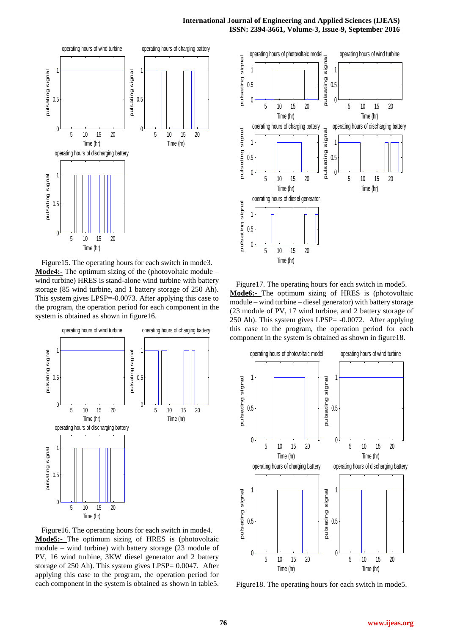

Figure15. The operating hours for each switch in mode3. **Mode4:-** The optimum sizing of the (photovoltaic module – wind turbine) HRES is stand-alone wind turbine with battery storage (85 wind turbine, and 1 battery storage of 250 Ah). This system gives LPSP=-0.0073. After applying this case to the program, the operation period for each component in the system is obtained as shown in figure16.



Figure16. The operating hours for each switch in mode4. **Mode5:-** The optimum sizing of HRES is (photovoltaic module – wind turbine) with battery storage (23 module of PV, 16 wind turbine, 3KW diesel generator and 2 battery storage of 250 Ah). This system gives LPSP= 0.0047. After applying this case to the program, the operation period for each component in the system is obtained as shown in table5.



Figure17. The operating hours for each switch in mode5. **Mode6:-** The optimum sizing of HRES is (photovoltaic module – wind turbine – diesel generator) with battery storage (23 module of PV, 17 wind turbine, and 2 battery storage of 250 Ah). This system gives LPSP= -0.0072. After applying this case to the program, the operation period for each component in the system is obtained as shown in figure18.



Figure18. The operating hours for each switch in mode5.